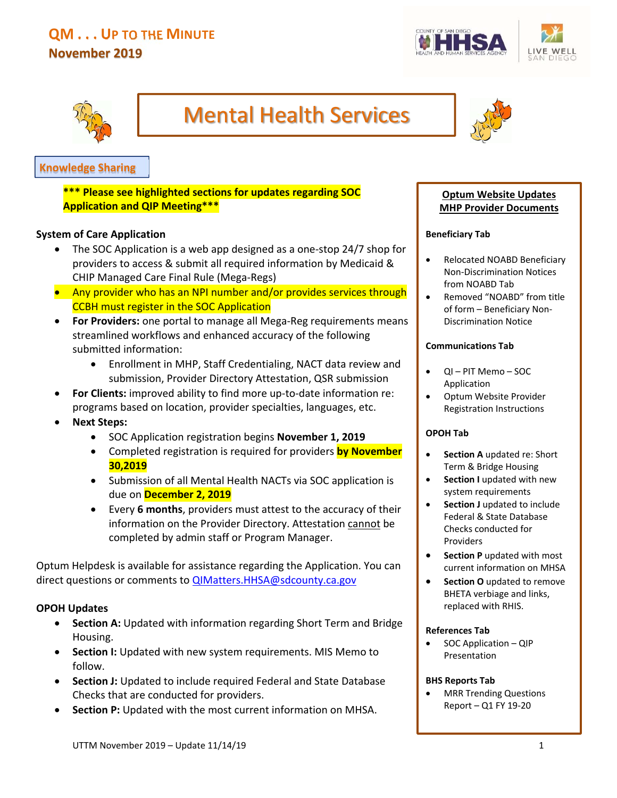# **QM . . . UP TO THE MINUTE November 2019**





# Mental Health Services



# **Knowledge Sharing**

**\*\*\* Please see highlighted sections for updates regarding SOC Application and QIP Meeting\*\*\*** 

#### **System of Care Application**

- The SOC Application is a web app designed as a one‐stop 24/7 shop for providers to access & submit all required information by Medicaid & CHIP Managed Care Final Rule (Mega‐Regs)
- Any provider who has an NPI number and/or provides services through CCBH must register in the SOC Application
- **For Providers:** one portal to manage all Mega‐Reg requirements means streamlined workflows and enhanced accuracy of the following submitted information:
	- Enrollment in MHP, Staff Credentialing, NACT data review and submission, Provider Directory Attestation, QSR submission
- For Clients: improved ability to find more up-to-date information re: programs based on location, provider specialties, languages, etc.
- **Next Steps:** 
	- SOC Application registration begins **November 1, 2019**
	- Completed registration is required for providers **by November 30,2019**
	- Submission of all Mental Health NACTs via SOC application is due on **December 2, 2019**
	- Every **6 months**, providers must attest to the accuracy of their information on the Provider Directory. Attestation cannot be completed by admin staff or Program Manager.

Optum Helpdesk is available for assistance regarding the Application. You can direct questions or comments to **QIMatters.HHSA@sdcounty.ca.gov** 

#### **OPOH Updates**

- **Section A:** Updated with information regarding Short Term and Bridge Housing.
- **Section I:** Updated with new system requirements. MIS Memo to follow.
- **Section J:** Updated to include required Federal and State Database Checks that are conducted for providers.
- **Section P:** Updated with the most current information on MHSA.

#### **Optum Website Updates MHP Provider Documents**

#### **Beneficiary Tab**

- Relocated NOABD Beneficiary Non‐Discrimination Notices from NOABD Tab
- Removed "NOABD" from title of form – Beneficiary Non‐ Discrimination Notice

#### **Communications Tab**

- QI PIT Memo SOC Application
- Optum Website Provider Registration Instructions

#### **OPOH Tab**

- **Section A** updated re: Short Term & Bridge Housing
- **Section I** updated with new system requirements
- **Section J** updated to include Federal & State Database Checks conducted for Providers
- **•** Section P updated with most current information on MHSA
- **Section O** updated to remove BHETA verbiage and links, replaced with RHIS.

#### **References Tab**

 SOC Application – QIP Presentation

#### **BHS Reports Tab**

 MRR Trending Questions Report – Q1 FY 19‐20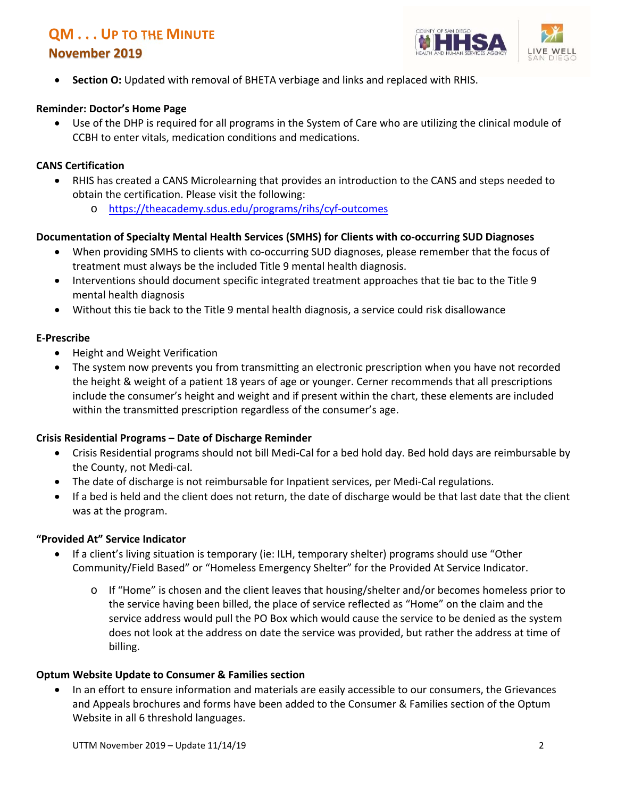# **QM . . . UP TO THE MINUTE**

## **November 2019**



**Section O:** Updated with removal of BHETA verbiage and links and replaced with RHIS.

#### **Reminder: Doctor's Home Page**

 Use of the DHP is required for all programs in the System of Care who are utilizing the clinical module of CCBH to enter vitals, medication conditions and medications.

#### **CANS Certification**

- RHIS has created a CANS Microlearning that provides an introduction to the CANS and steps needed to obtain the certification. Please visit the following:
	- o https://theacademy.sdus.edu/programs/rihs/cyf‐outcomes

#### **Documentation of Specialty Mental Health Services (SMHS) for Clients with co‐occurring SUD Diagnoses**

- When providing SMHS to clients with co-occurring SUD diagnoses, please remember that the focus of treatment must always be the included Title 9 mental health diagnosis.
- Interventions should document specific integrated treatment approaches that tie bac to the Title 9 mental health diagnosis
- Without this tie back to the Title 9 mental health diagnosis, a service could risk disallowance

#### **E‐Prescribe**

- Height and Weight Verification
- The system now prevents you from transmitting an electronic prescription when you have not recorded the height & weight of a patient 18 years of age or younger. Cerner recommends that all prescriptions include the consumer's height and weight and if present within the chart, these elements are included within the transmitted prescription regardless of the consumer's age.

#### **Crisis Residential Programs – Date of Discharge Reminder**

- Crisis Residential programs should not bill Medi‐Cal for a bed hold day. Bed hold days are reimbursable by the County, not Medi‐cal.
- The date of discharge is not reimbursable for Inpatient services, per Medi‐Cal regulations.
- If a bed is held and the client does not return, the date of discharge would be that last date that the client was at the program.

#### **"Provided At" Service Indicator**

- If a client's living situation is temporary (ie: ILH, temporary shelter) programs should use "Other Community/Field Based" or "Homeless Emergency Shelter" for the Provided At Service Indicator.
	- $\circ$  If "Home" is chosen and the client leaves that housing/shelter and/or becomes homeless prior to the service having been billed, the place of service reflected as "Home" on the claim and the service address would pull the PO Box which would cause the service to be denied as the system does not look at the address on date the service was provided, but rather the address at time of billing.

#### **Optum Website Update to Consumer & Families section**

 In an effort to ensure information and materials are easily accessible to our consumers, the Grievances and Appeals brochures and forms have been added to the Consumer & Families section of the Optum Website in all 6 threshold languages.